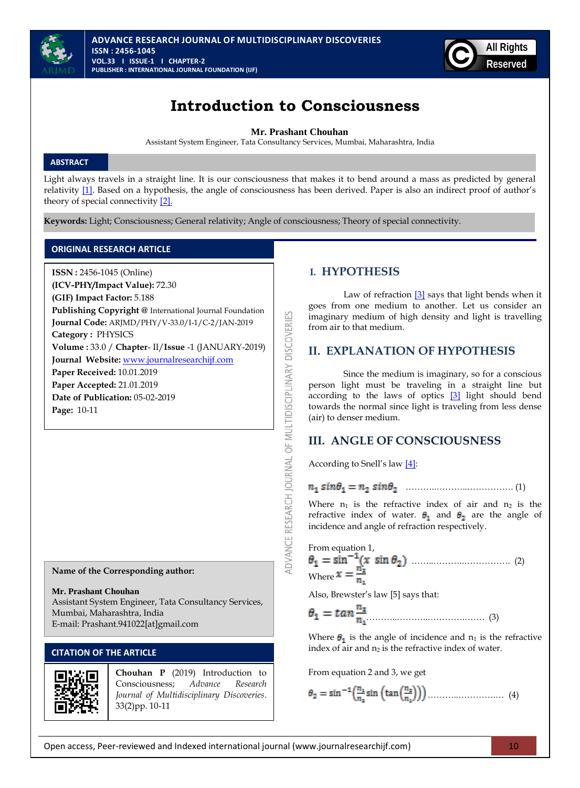



# **Introduction to Consciousness**

**Mr. Prashant Chouhan**

Assistant System Engineer, Tata Consultancy Services, Mumbai, Maharashtra, India

### **ABSTRACT**

**Page:** 10-11

Light always travels in a straight line. It is our consciousness that makes it to bend around a mass as predicted by general relativity [\[1\].](#page-1-0) Based on a hypothesis, the angle of consciousness has been derived. Paper is also an indirect proof of author's theory of special connectivity [\[2\].](#page-1-0)

ADVANCE RESEARCH JOURNAL OF MULTIDISCIPLINARY DISCOVERIES

**Keywords:** Light; Consciousness; General relativity; Angle of consciousness; Theory of special connectivity.

### **ORIGINAL RESEARCH ARTICLE**

**ISSN :** 2456-1045 (Online) **(ICV-PHY/Impact Value):** 72.30 **(GIF) Impact Factor:** 5.188 **Publishing Copyright @** International Journal Foundation **Journal Code:** ARJMD/PHY/V-33.0/I-1/C-2/JAN-2019 **Category :** PHYSICS **Volume :** 33.0 / **Chapter**- II/**Issue** -1 (JANUARY-2019) **Journal Website:** [www.journalresearchijf.com](http://www.journalresearchijf.com/) **Paper Received:** 10.01.2019 **Paper Accepted:** 21.01.2019 **Date of Publication:** 05-02-2019

**Name of the Corresponding author:**

#### **Mr. Prashant Chouhan**

Assistant System Engineer, Tata Consultancy Services, Mumbai, Maharashtra, India E-mail: Prashant.941022[at]gmail.com

# **CITATION OF THE ARTICLE**



**Chouhan P** (2019) Introduction to Consciousness; *Advance Research Journal of Multidisciplinary Discoveries*. 33(2)pp. 10-11

### **I. HYPOTHESIS**

Law of refraction [\[3\]](#page-1-0) says that light bends when it goes from one medium to another. Let us consider an imaginary medium of high density and light is travelling from air to that medium.

# **II. EXPLANATION OF HYPOTHESIS**

Since the medium is imaginary, so for a conscious person light must be traveling in a straight line but according to the laws of optics [\[3\]](#page-1-0) light should bend towards the normal since light is traveling from less dense (air) to denser medium.

# **III. ANGLE OF CONSCIOUSNESS**

According to Snell's law [\[4\]:](#page-1-0)

………..………..……………. (1)

Where  $n_1$  is the refractive index of air and  $n_2$  is the refractive index of water.  $\theta_1$  and  $\theta_2$  are the angle of incidence and angle of refraction respectively.

From equation 1, ……..………..……………. (2) Where

Also, Brewster's law [5] says that:

………..………..………….……. (3)

Where  $\theta_1$  is the angle of incidence and  $n_1$  is the refractive index of air and  $n_2$  is the refractive index of water.

From equation 2 and 3, we get

$$
\theta_2 = \sin^{-1}\left(\frac{n_1}{n_2}\sin\left(\tan\left(\frac{n_2}{n_1}\right)\right)\right)\dots \dots \dots \dots \dots \dots \dots \tag{4}
$$

Open access, Peer-reviewed and Indexed international journal (www.journalresearchijf.com) 10